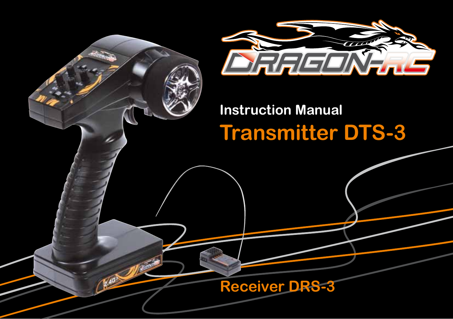

# **Instruction Manual Transmitter DTS-3**

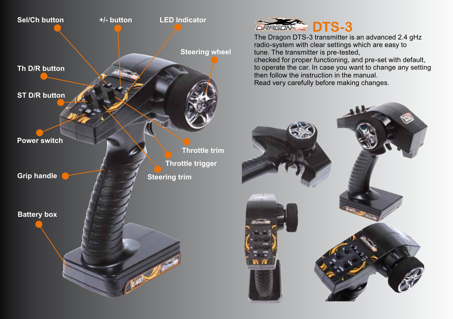



The Dragon DTS-3 transmitter is an advanced 2.4 gHz radio-system with clear settings which are easy to tune. The transmitter is pre-tested,

checked for proper functioning, and pre-set with default, to operate the car. In case you want to change any setting then follow the instruction in the manual. Read very carefully before making changes.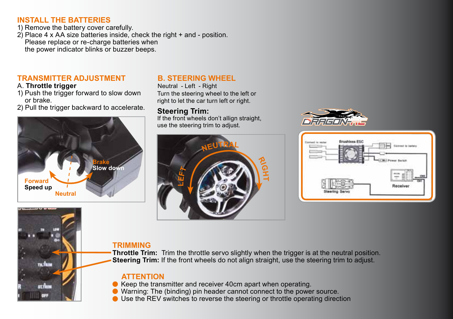#### **INSTALL THE BATTERIES**

- 1) Remove the battery cover carefully.
- 2) Place 4 x AA size batteries inside, check the right + and position. Please replace or re-charge batteries when the power indicator blinks or buzzer beeps.

#### **TRANSMITTER ADJUSTMENT**

#### A. **Throttle trigger**

**TH.TRU** 

 $-141$ 

- 1) Push the trigger forward to slow down or brake.
- 2) Pull the trigger backward to accelerate.



## **B. STEERING WHEEL**

Neutral - Left - Right Turn the steering wheel to the left or right to let the car turn left or right.

## **Steering Trim:**

If the front wheels don't allign straight, use the steering trim to adjust.







## **TRIMMING**

**Throttle Trim:** Trim the throttle servo slightly when the trigger is at the neutral position. **Steering Trim:** If the front wheels do not align straight, use the steering trim to adjust.

## **ATTENTION**

- Keep the transmitter and receiver 40cm apart when operating.
- Warning: The (binding) pin header cannot connect to the power source.
- Use the REV switches to reverse the steering or throttle operating direction